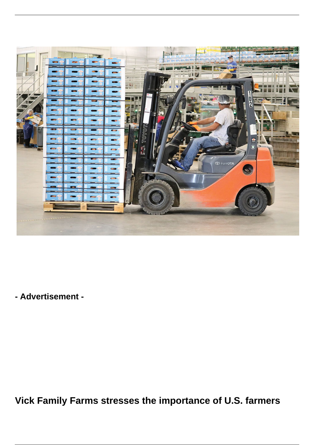

**- Advertisement -**

**Vick Family Farms stresses the importance of U.S. farmers**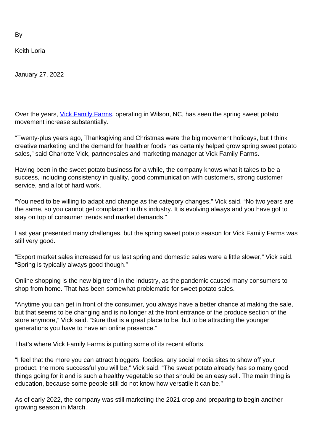By

Keith Loria

January 27, 2022

Over the years, *[Vick Family Farms](https://vickfamilyfarms.com/)*, operating in Wilson, NC, has seen the spring sweet potato movement increase substantially.

"Twenty-plus years ago, Thanksgiving and Christmas were the big movement holidays, but I think creative marketing and the demand for healthier foods has certainly helped grow spring sweet potato sales," said Charlotte Vick, partner/sales and marketing manager at Vick Family Farms.

Having been in the sweet potato business for a while, the company knows what it takes to be a success, including consistency in quality, good communication with customers, strong customer service, and a lot of hard work.

"You need to be willing to adapt and change as the category changes," Vick said. "No two years are the same, so you cannot get complacent in this industry. It is evolving always and you have got to stay on top of consumer trends and market demands."

Last year presented many challenges, but the spring sweet potato season for Vick Family Farms was still very good.

"Export market sales increased for us last spring and domestic sales were a little slower," Vick said. "Spring is typically always good though."

Online shopping is the new big trend in the industry, as the pandemic caused many consumers to shop from home. That has been somewhat problematic for sweet potato sales.

"Anytime you can get in front of the consumer, you always have a better chance at making the sale, but that seems to be changing and is no longer at the front entrance of the produce section of the store anymore," Vick said. "Sure that is a great place to be, but to be attracting the younger generations you have to have an online presence."

That's where Vick Family Farms is putting some of its recent efforts.

"I feel that the more you can attract bloggers, foodies, any social media sites to show off your product, the more successful you will be," Vick said. "The sweet potato already has so many good things going for it and is such a healthy vegetable so that should be an easy sell. The main thing is education, because some people still do not know how versatile it can be."

As of early 2022, the company was still marketing the 2021 crop and preparing to begin another growing season in March.